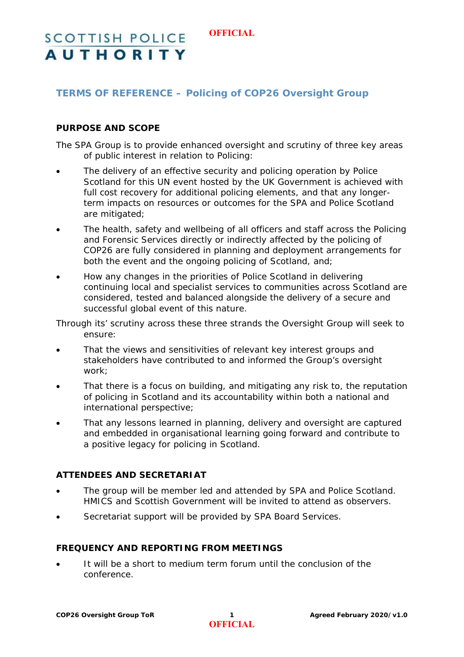#### **OFFICIAL**

# **SCOTTISH POLICE AUTHORITY**

# **TERMS OF REFERENCE – Policing of COP26 Oversight Group**

## **PURPOSE AND SCOPE**

The SPA Group is to provide enhanced oversight and scrutiny of three key areas of public interest in relation to Policing:

- The delivery of an effective security and policing operation by Police Scotland for this UN event hosted by the UK Government is achieved with full cost recovery for additional policing elements, and that any longerterm impacts on resources or outcomes for the SPA and Police Scotland are mitigated;
- The health, safety and wellbeing of all officers and staff across the Policing and Forensic Services directly or indirectly affected by the policing of COP26 are fully considered in planning and deployment arrangements for both the event and the ongoing policing of Scotland, and;
- How any changes in the priorities of Police Scotland in delivering continuing local and specialist services to communities across Scotland are considered, tested and balanced alongside the delivery of a secure and successful global event of this nature.

Through its' scrutiny across these three strands the Oversight Group will seek to ensure:

- That the views and sensitivities of relevant key interest groups and stakeholders have contributed to and informed the Group's oversight work;
- That there is a focus on building, and mitigating any risk to, the reputation of policing in Scotland and its accountability within both a national and international perspective;
- That any lessons learned in planning, delivery and oversight are captured and embedded in organisational learning going forward and contribute to a positive legacy for policing in Scotland.

## **ATTENDEES AND SECRETARIAT**

- The group will be member led and attended by SPA and Police Scotland. HMICS and Scottish Government will be invited to attend as observers.
- Secretariat support will be provided by SPA Board Services.

#### **FREQUENCY AND REPORTING FROM MEETINGS**

 It will be a short to medium term forum until the conclusion of the conference.